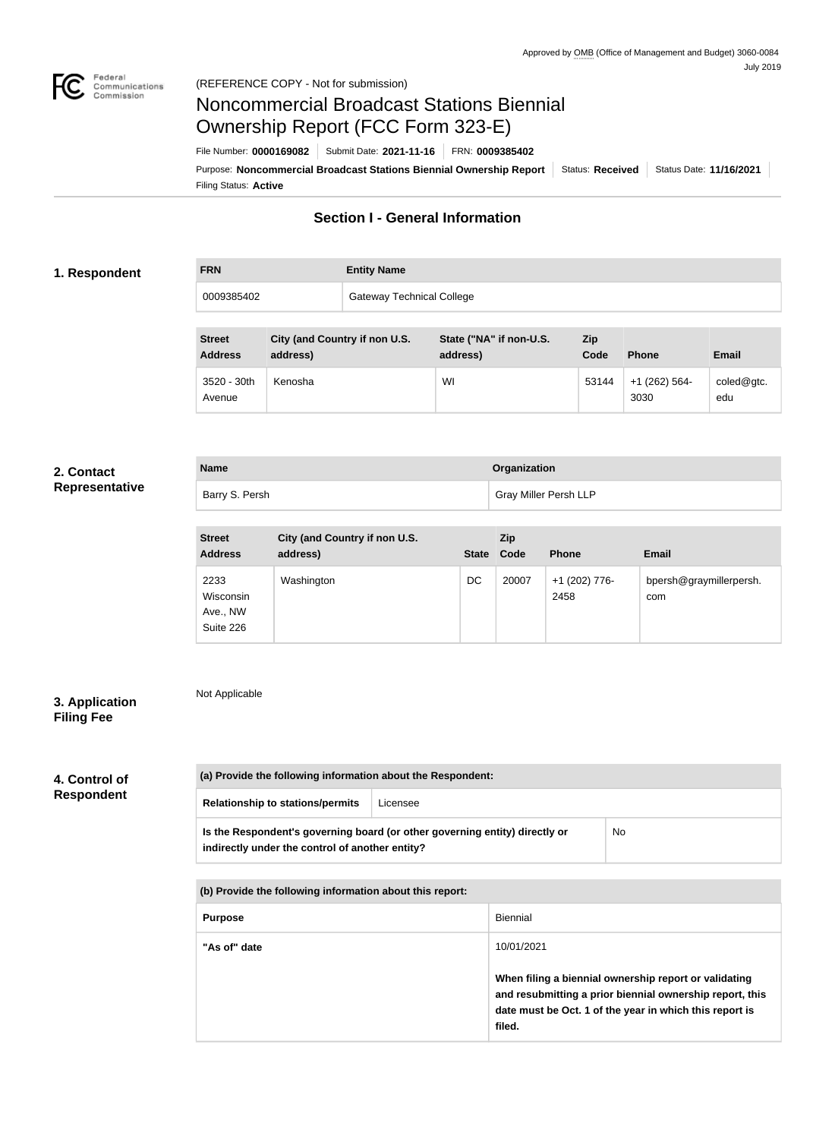

# Noncommercial Broadcast Stations Biennial Ownership Report (FCC Form 323-E)

Filing Status: **Active** Purpose: Noncommercial Broadcast Stations Biennial Ownership Report | Status: Received | Status Date: 11/16/2021 File Number: **0000169082** Submit Date: **2021-11-16** FRN: **0009385402**

# **Section I - General Information**

### **1. Respondent**

| <b>FRN</b> | <b>Entity Name</b>               |
|------------|----------------------------------|
| 0009385402 | <b>Gateway Technical College</b> |

| <b>Street</b><br><b>Address</b> | City (and Country if non U.S.<br>address) | State ("NA" if non-U.S.<br>address) | <b>Zip</b><br>Code | <b>Phone</b>            | <b>Email</b>                        |
|---------------------------------|-------------------------------------------|-------------------------------------|--------------------|-------------------------|-------------------------------------|
| 3520 - 30th<br>Avenue           | Kenosha                                   | WI                                  | 53144              | $+1$ (262) 564-<br>3030 | $\text{coled} @ \text{gtc}.$<br>edu |

#### **2. Contact Representative**

| <b>Name</b>    | Organization          |
|----------------|-----------------------|
| Barry S. Persh | Gray Miller Persh LLP |

| <b>Street</b><br><b>Address</b>            | City (and Country if non U.S.<br>address) | <b>State</b> | Zip<br>Code | <b>Phone</b>          | <b>Email</b>                   |
|--------------------------------------------|-------------------------------------------|--------------|-------------|-----------------------|--------------------------------|
| 2233<br>Wisconsin<br>Ave., NW<br>Suite 226 | Washington                                | DC           | 20007       | +1 (202) 776-<br>2458 | bpersh@graymillerpersh.<br>com |

## **3. Application Filing Fee**

Not Applicable

## **4. Control of Respondent**

| (a) Provide the following information about the Respondent: |                                                                             |    |
|-------------------------------------------------------------|-----------------------------------------------------------------------------|----|
| <b>Relationship to stations/permits</b>                     | Licensee                                                                    |    |
| indirectly under the control of another entity?             | Is the Respondent's governing board (or other governing entity) directly or | No |

**(b) Provide the following information about this report:**

| <b>Purpose</b> | Biennial                                                                                                                                                                                             |
|----------------|------------------------------------------------------------------------------------------------------------------------------------------------------------------------------------------------------|
| "As of" date   | 10/01/2021<br>When filing a biennial ownership report or validating<br>and resubmitting a prior biennial ownership report, this<br>date must be Oct. 1 of the year in which this report is<br>filed. |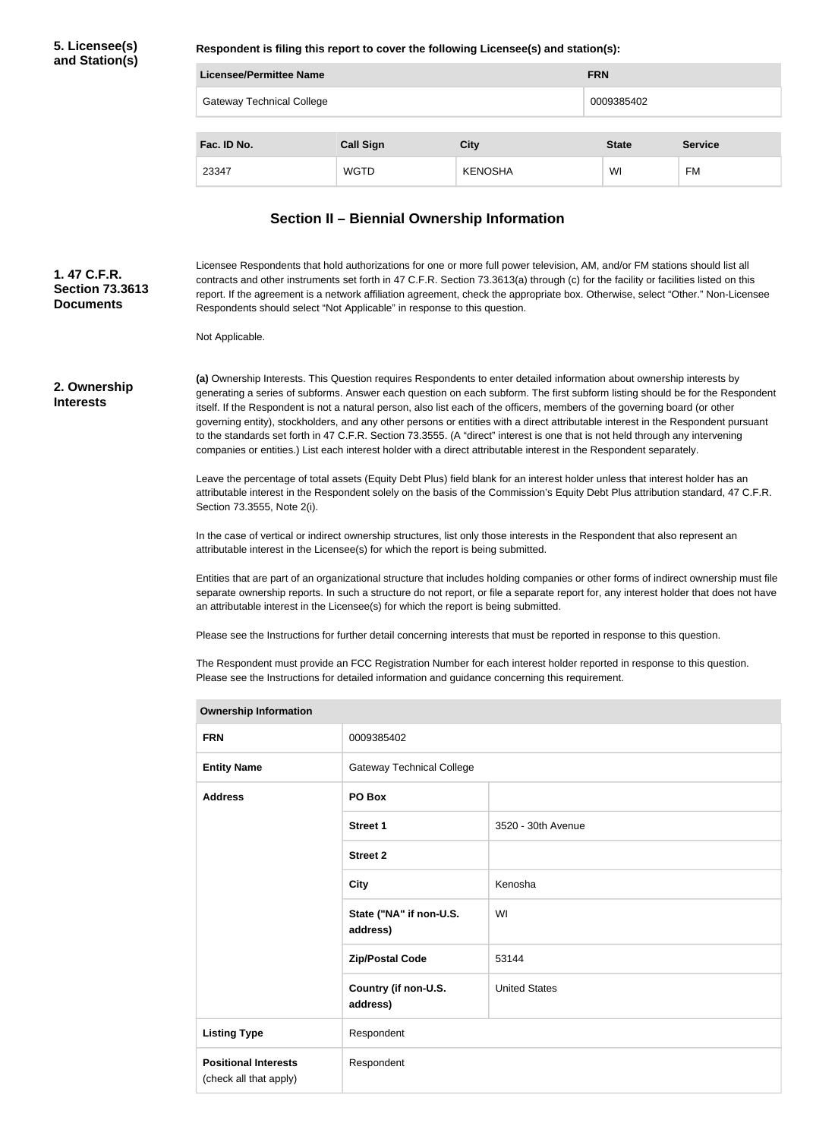**Respondent is filing this report to cover the following Licensee(s) and station(s):**

| Licensee/Permittee Name          |                  |                | <b>FRN</b>   |                |
|----------------------------------|------------------|----------------|--------------|----------------|
| <b>Gateway Technical College</b> |                  |                | 0009385402   |                |
|                                  |                  |                |              |                |
| Fac. ID No.                      | <b>Call Sign</b> | <b>City</b>    | <b>State</b> | <b>Service</b> |
| 23347                            | <b>WGTD</b>      | <b>KENOSHA</b> | WI           | FM             |

## **Section II – Biennial Ownership Information**

Licensee Respondents that hold authorizations for one or more full power television, AM, and/or FM stations should list all contracts and other instruments set forth in 47 C.F.R. Section 73.3613(a) through (c) for the facility or facilities listed on this report. If the agreement is a network affiliation agreement, check the appropriate box. Otherwise, select "Other." Non-Licensee Respondents should select "Not Applicable" in response to this question. **1. 47 C.F.R. Section 73.3613 Documents**

Not Applicable.

**2. Ownership Interests**

**(a)** Ownership Interests. This Question requires Respondents to enter detailed information about ownership interests by generating a series of subforms. Answer each question on each subform. The first subform listing should be for the Respondent itself. If the Respondent is not a natural person, also list each of the officers, members of the governing board (or other governing entity), stockholders, and any other persons or entities with a direct attributable interest in the Respondent pursuant to the standards set forth in 47 C.F.R. Section 73.3555. (A "direct" interest is one that is not held through any intervening companies or entities.) List each interest holder with a direct attributable interest in the Respondent separately.

Leave the percentage of total assets (Equity Debt Plus) field blank for an interest holder unless that interest holder has an attributable interest in the Respondent solely on the basis of the Commission's Equity Debt Plus attribution standard, 47 C.F.R. Section 73.3555, Note 2(i).

In the case of vertical or indirect ownership structures, list only those interests in the Respondent that also represent an attributable interest in the Licensee(s) for which the report is being submitted.

Entities that are part of an organizational structure that includes holding companies or other forms of indirect ownership must file separate ownership reports. In such a structure do not report, or file a separate report for, any interest holder that does not have an attributable interest in the Licensee(s) for which the report is being submitted.

Please see the Instructions for further detail concerning interests that must be reported in response to this question.

The Respondent must provide an FCC Registration Number for each interest holder reported in response to this question. Please see the Instructions for detailed information and guidance concerning this requirement.

| <b>Ownership Information</b>                          |                                     |                      |
|-------------------------------------------------------|-------------------------------------|----------------------|
| <b>FRN</b>                                            | 0009385402                          |                      |
| <b>Entity Name</b>                                    | <b>Gateway Technical College</b>    |                      |
| <b>Address</b>                                        | PO Box                              |                      |
|                                                       | Street 1                            | 3520 - 30th Avenue   |
|                                                       | <b>Street 2</b>                     |                      |
|                                                       | <b>City</b>                         | Kenosha              |
|                                                       | State ("NA" if non-U.S.<br>address) | WI                   |
|                                                       | <b>Zip/Postal Code</b>              | 53144                |
|                                                       | Country (if non-U.S.<br>address)    | <b>United States</b> |
| <b>Listing Type</b>                                   | Respondent                          |                      |
| <b>Positional Interests</b><br>(check all that apply) | Respondent                          |                      |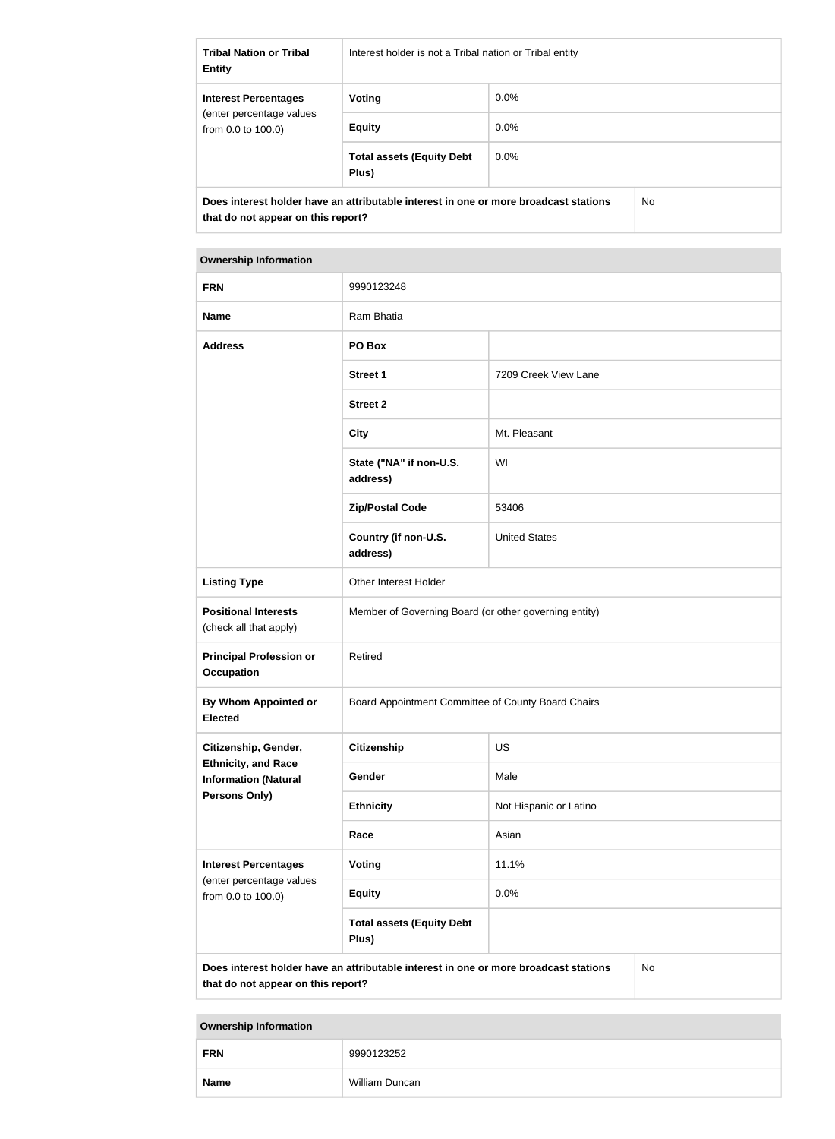| <b>Tribal Nation or Tribal</b><br><b>Entity</b>                                                                                   | Interest holder is not a Tribal nation or Tribal entity |         |  |
|-----------------------------------------------------------------------------------------------------------------------------------|---------------------------------------------------------|---------|--|
| <b>Interest Percentages</b><br>(enter percentage values)<br>from $0.0$ to $100.0$ )                                               | Voting                                                  | $0.0\%$ |  |
|                                                                                                                                   | <b>Equity</b>                                           | 0.0%    |  |
|                                                                                                                                   | <b>Total assets (Equity Debt</b><br>Plus)               | $0.0\%$ |  |
| Does interest holder have an attributable interest in one or more broadcast stations<br>No.<br>that do not appear on this report? |                                                         |         |  |

| <b>Ownership Information</b>                                                                                                            |                                                       |                        |  |
|-----------------------------------------------------------------------------------------------------------------------------------------|-------------------------------------------------------|------------------------|--|
| <b>FRN</b>                                                                                                                              | 9990123248                                            |                        |  |
| <b>Name</b>                                                                                                                             | Ram Bhatia                                            |                        |  |
| <b>Address</b>                                                                                                                          | PO Box                                                |                        |  |
|                                                                                                                                         | <b>Street 1</b>                                       | 7209 Creek View Lane   |  |
|                                                                                                                                         | <b>Street 2</b>                                       |                        |  |
|                                                                                                                                         | <b>City</b>                                           | Mt. Pleasant           |  |
|                                                                                                                                         | State ("NA" if non-U.S.<br>address)                   | WI                     |  |
|                                                                                                                                         | <b>Zip/Postal Code</b>                                | 53406                  |  |
|                                                                                                                                         | Country (if non-U.S.<br>address)                      | <b>United States</b>   |  |
| <b>Listing Type</b>                                                                                                                     | Other Interest Holder                                 |                        |  |
| <b>Positional Interests</b><br>(check all that apply)                                                                                   | Member of Governing Board (or other governing entity) |                        |  |
| <b>Principal Profession or</b><br><b>Occupation</b>                                                                                     | Retired                                               |                        |  |
| By Whom Appointed or<br><b>Elected</b>                                                                                                  | Board Appointment Committee of County Board Chairs    |                        |  |
| Citizenship, Gender,                                                                                                                    | <b>Citizenship</b>                                    | US                     |  |
| <b>Ethnicity, and Race</b><br><b>Information (Natural</b>                                                                               | Gender                                                | Male                   |  |
| Persons Only)                                                                                                                           | <b>Ethnicity</b>                                      | Not Hispanic or Latino |  |
|                                                                                                                                         | Race                                                  | Asian                  |  |
| <b>Interest Percentages</b><br>(enter percentage values                                                                                 | <b>Voting</b>                                         | 11.1%                  |  |
| from 0.0 to 100.0)                                                                                                                      | <b>Equity</b>                                         | 0.0%                   |  |
|                                                                                                                                         | <b>Total assets (Equity Debt</b><br>Plus)             |                        |  |
| Does interest holder have an attributable interest in one or more broadcast stations<br><b>No</b><br>that do not appear on this report? |                                                       |                        |  |

# **Ownership Information FRN** 9990123252 **Name** William Duncan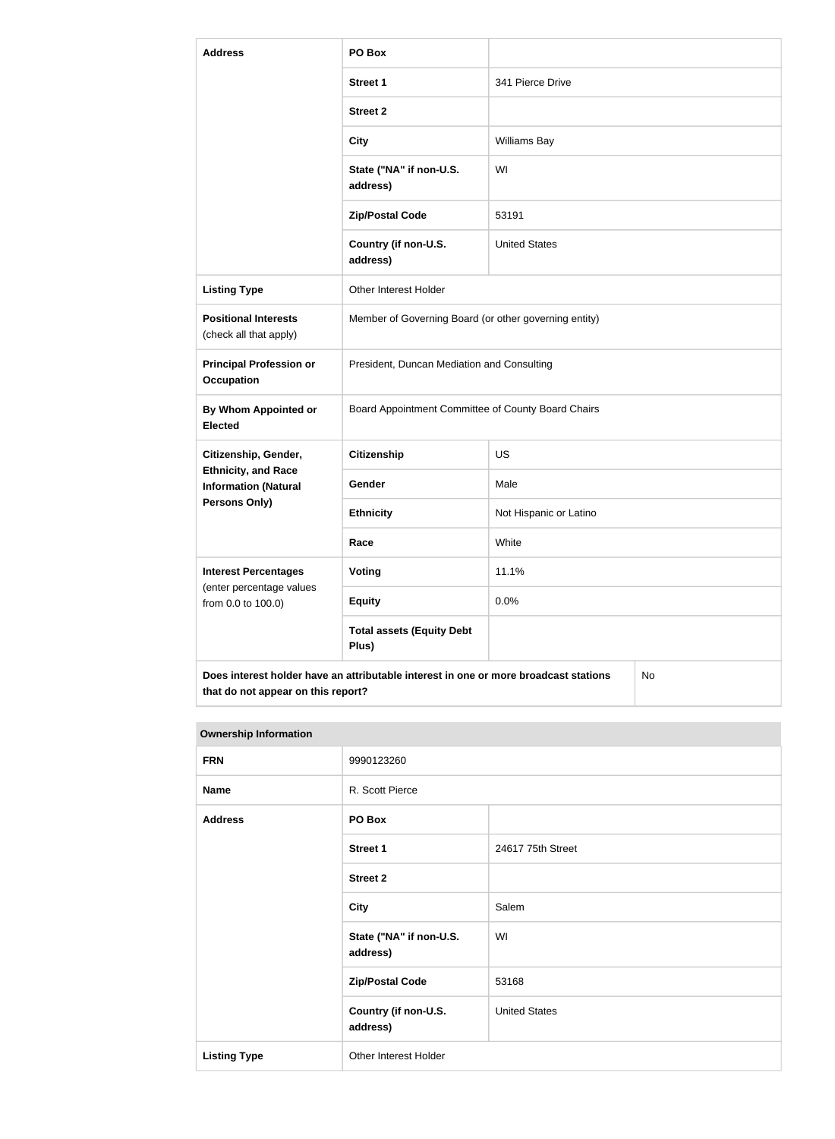| <b>Address</b>                                            | PO Box                                                                                     |                        |  |
|-----------------------------------------------------------|--------------------------------------------------------------------------------------------|------------------------|--|
|                                                           | <b>Street 1</b>                                                                            | 341 Pierce Drive       |  |
|                                                           | <b>Street 2</b>                                                                            |                        |  |
|                                                           | <b>City</b>                                                                                | <b>Williams Bay</b>    |  |
|                                                           | State ("NA" if non-U.S.<br>address)                                                        | WI                     |  |
|                                                           | <b>Zip/Postal Code</b>                                                                     | 53191                  |  |
|                                                           | Country (if non-U.S.<br>address)                                                           | <b>United States</b>   |  |
| <b>Listing Type</b>                                       | Other Interest Holder                                                                      |                        |  |
| <b>Positional Interests</b><br>(check all that apply)     | Member of Governing Board (or other governing entity)                                      |                        |  |
| <b>Principal Profession or</b><br><b>Occupation</b>       | President, Duncan Mediation and Consulting                                                 |                        |  |
| <b>By Whom Appointed or</b><br><b>Elected</b>             | Board Appointment Committee of County Board Chairs                                         |                        |  |
| Citizenship, Gender,                                      | <b>Citizenship</b>                                                                         | <b>US</b>              |  |
| <b>Ethnicity, and Race</b><br><b>Information (Natural</b> | Gender                                                                                     | Male                   |  |
| Persons Only)                                             | <b>Ethnicity</b>                                                                           | Not Hispanic or Latino |  |
|                                                           | Race                                                                                       | White                  |  |
| <b>Interest Percentages</b><br>(enter percentage values   | Voting                                                                                     | 11.1%                  |  |
| from 0.0 to 100.0)                                        | <b>Equity</b>                                                                              | 0.0%                   |  |
|                                                           | <b>Total assets (Equity Debt</b><br>Plus)                                                  |                        |  |
|                                                           | Does interest holder have an attributable interest in one or more broadcast stations<br>No |                        |  |

| <b>Ownership Information</b> |                                     |                      |
|------------------------------|-------------------------------------|----------------------|
| <b>FRN</b>                   | 9990123260                          |                      |
| <b>Name</b>                  | R. Scott Pierce                     |                      |
| <b>Address</b>               | PO Box                              |                      |
|                              | <b>Street 1</b>                     | 24617 75th Street    |
|                              | <b>Street 2</b>                     |                      |
|                              | <b>City</b>                         | Salem                |
|                              | State ("NA" if non-U.S.<br>address) | WI                   |
|                              | <b>Zip/Postal Code</b>              | 53168                |
|                              | Country (if non-U.S.<br>address)    | <b>United States</b> |
| <b>Listing Type</b>          | Other Interest Holder               |                      |

**that do not appear on this report?**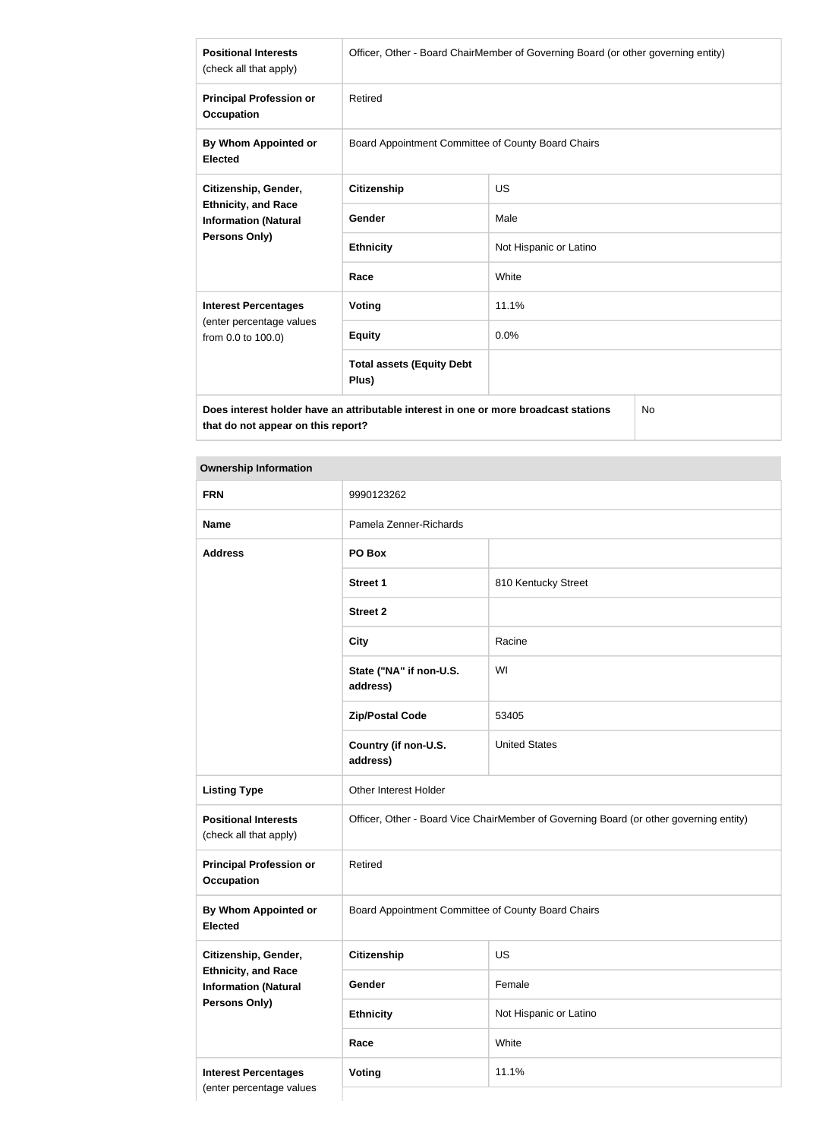| <b>Positional Interests</b><br>(check all that apply)                                                     | Officer, Other - Board ChairMember of Governing Board (or other governing entity) |                        |  |
|-----------------------------------------------------------------------------------------------------------|-----------------------------------------------------------------------------------|------------------------|--|
| <b>Principal Profession or</b><br><b>Occupation</b>                                                       | Retired                                                                           |                        |  |
| By Whom Appointed or<br><b>Elected</b>                                                                    | Board Appointment Committee of County Board Chairs                                |                        |  |
| Citizenship, Gender,<br><b>Ethnicity, and Race</b><br><b>Information (Natural</b><br><b>Persons Only)</b> | <b>Citizenship</b>                                                                | US                     |  |
|                                                                                                           | Gender                                                                            | Male                   |  |
|                                                                                                           | <b>Ethnicity</b>                                                                  | Not Hispanic or Latino |  |
|                                                                                                           | Race                                                                              | White                  |  |
| <b>Interest Percentages</b>                                                                               | <b>Voting</b>                                                                     | 11.1%                  |  |
| (enter percentage values<br>from 0.0 to 100.0)                                                            | <b>Equity</b>                                                                     | 0.0%                   |  |
|                                                                                                           | <b>Total assets (Equity Debt</b><br>Plus)                                         |                        |  |
| Does interest holder have an attributable interest in one or more broadcast stations<br>No                |                                                                                   |                        |  |

**that do not appear on this report?**

## **Ownership Information**

| <b>FRN</b>                                                | 9990123262                                                                             |                        |  |
|-----------------------------------------------------------|----------------------------------------------------------------------------------------|------------------------|--|
| <b>Name</b>                                               | Pamela Zenner-Richards                                                                 |                        |  |
| <b>Address</b>                                            | PO Box                                                                                 |                        |  |
|                                                           | <b>Street 1</b>                                                                        | 810 Kentucky Street    |  |
|                                                           | <b>Street 2</b>                                                                        |                        |  |
|                                                           | <b>City</b>                                                                            | Racine                 |  |
|                                                           | State ("NA" if non-U.S.<br>address)                                                    | WI                     |  |
|                                                           | <b>Zip/Postal Code</b>                                                                 | 53405                  |  |
|                                                           | Country (if non-U.S.<br>address)                                                       | <b>United States</b>   |  |
| <b>Listing Type</b>                                       | Other Interest Holder                                                                  |                        |  |
| <b>Positional Interests</b><br>(check all that apply)     | Officer, Other - Board Vice ChairMember of Governing Board (or other governing entity) |                        |  |
| <b>Principal Profession or</b><br><b>Occupation</b>       | Retired                                                                                |                        |  |
| <b>By Whom Appointed or</b><br><b>Elected</b>             | Board Appointment Committee of County Board Chairs                                     |                        |  |
| Citizenship, Gender,                                      | Citizenship                                                                            | <b>US</b>              |  |
| <b>Ethnicity, and Race</b><br><b>Information (Natural</b> | Gender                                                                                 | Female                 |  |
| <b>Persons Only)</b>                                      | <b>Ethnicity</b>                                                                       | Not Hispanic or Latino |  |
|                                                           | Race                                                                                   | White                  |  |
| <b>Interest Percentages</b><br>(enter percentage values   | Voting                                                                                 | 11.1%                  |  |
|                                                           |                                                                                        |                        |  |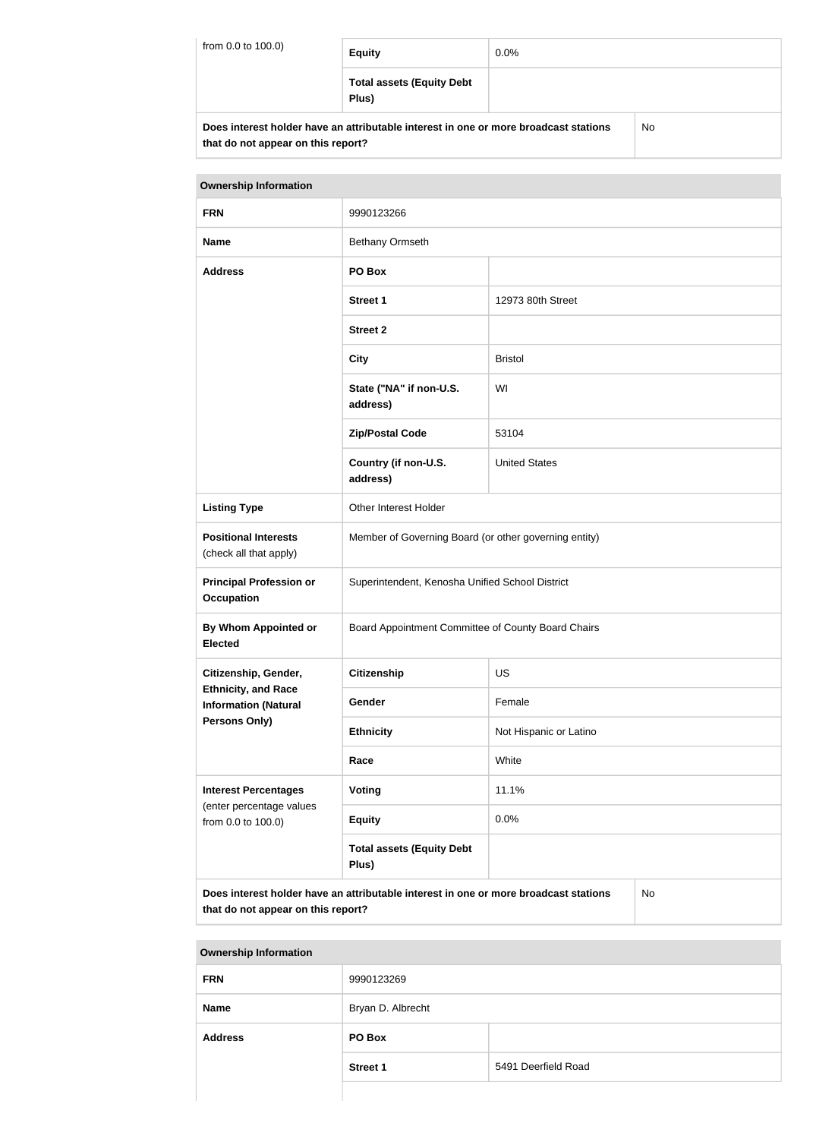| from 0.0 to 100.0)                                                                   | <b>Equity</b>                             | $0.0\%$ |    |
|--------------------------------------------------------------------------------------|-------------------------------------------|---------|----|
|                                                                                      | <b>Total assets (Equity Debt</b><br>Plus) |         |    |
| Does interest holder have an attributable interest in one or more broadcast stations |                                           |         | No |

**that do not appear on this report?**

| <b>Ownership Information</b>                                                                                                     |                                                       |                        |  |
|----------------------------------------------------------------------------------------------------------------------------------|-------------------------------------------------------|------------------------|--|
| <b>FRN</b>                                                                                                                       | 9990123266                                            |                        |  |
| <b>Name</b>                                                                                                                      | Bethany Ormseth                                       |                        |  |
| <b>Address</b>                                                                                                                   | PO Box                                                |                        |  |
|                                                                                                                                  | <b>Street 1</b>                                       | 12973 80th Street      |  |
|                                                                                                                                  | <b>Street 2</b>                                       |                        |  |
|                                                                                                                                  | <b>City</b>                                           | <b>Bristol</b>         |  |
|                                                                                                                                  | State ("NA" if non-U.S.<br>address)                   | WI                     |  |
|                                                                                                                                  | <b>Zip/Postal Code</b>                                | 53104                  |  |
|                                                                                                                                  | Country (if non-U.S.<br>address)                      | <b>United States</b>   |  |
| <b>Listing Type</b>                                                                                                              | Other Interest Holder                                 |                        |  |
| <b>Positional Interests</b><br>(check all that apply)                                                                            | Member of Governing Board (or other governing entity) |                        |  |
| <b>Principal Profession or</b><br><b>Occupation</b>                                                                              | Superintendent, Kenosha Unified School District       |                        |  |
| By Whom Appointed or<br><b>Elected</b>                                                                                           | Board Appointment Committee of County Board Chairs    |                        |  |
| Citizenship, Gender,                                                                                                             | <b>Citizenship</b>                                    | <b>US</b>              |  |
| <b>Ethnicity, and Race</b><br><b>Information (Natural</b>                                                                        | Gender                                                | Female                 |  |
| <b>Persons Only)</b>                                                                                                             | <b>Ethnicity</b>                                      | Not Hispanic or Latino |  |
|                                                                                                                                  | Race                                                  | White                  |  |
| <b>Interest Percentages</b>                                                                                                      | Voting                                                | 11.1%                  |  |
| (enter percentage values<br>from 0.0 to 100.0)                                                                                   | <b>Equity</b>                                         | 0.0%                   |  |
|                                                                                                                                  | <b>Total assets (Equity Debt</b><br>Plus)             |                        |  |
| Does interest holder have an attributable interest in one or more broadcast stations<br>No<br>that do not appear on this report? |                                                       |                        |  |

# **Ownership Information FRN** 9990123269 **Name** Bryan D. Albrecht **Address PO Box Street 1** 5491 Deerfield Road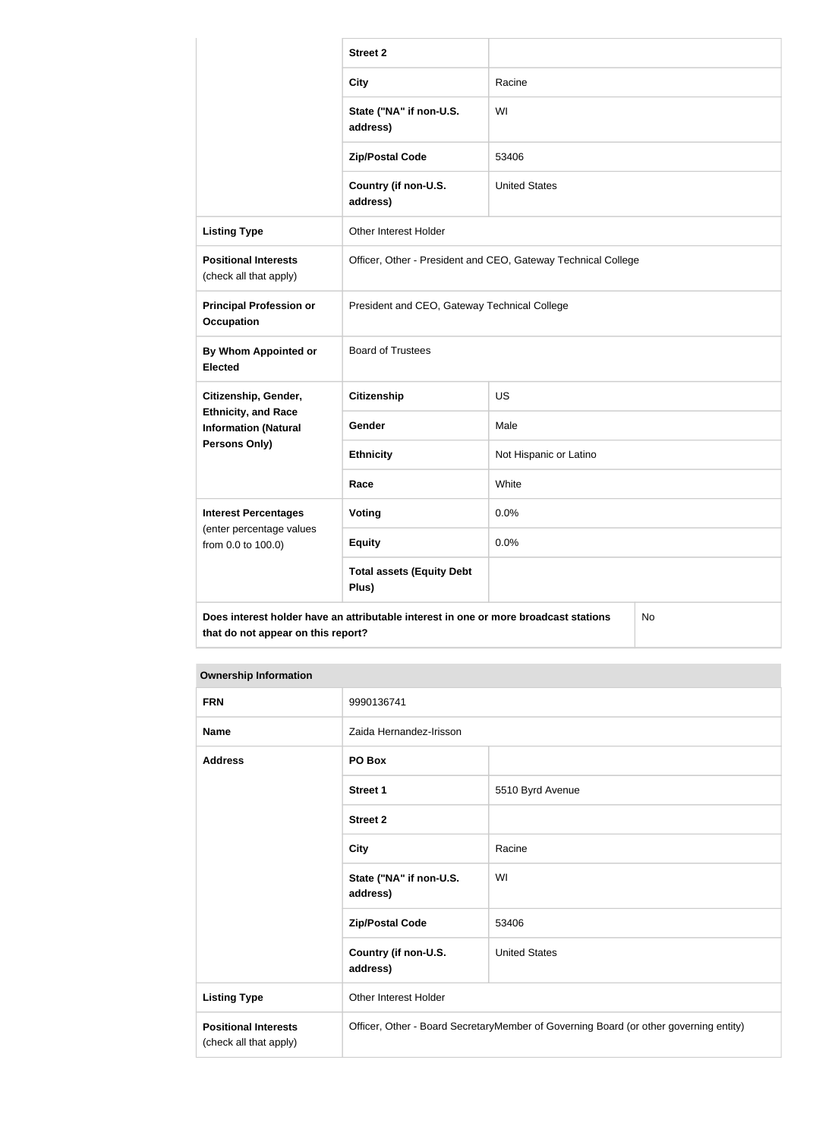|                                                           | <b>Street 2</b>                                                                      |                        |    |
|-----------------------------------------------------------|--------------------------------------------------------------------------------------|------------------------|----|
|                                                           | <b>City</b>                                                                          | Racine                 |    |
|                                                           | State ("NA" if non-U.S.<br>address)                                                  | WI                     |    |
|                                                           | <b>Zip/Postal Code</b>                                                               | 53406                  |    |
|                                                           | Country (if non-U.S.<br>address)                                                     | <b>United States</b>   |    |
| <b>Listing Type</b>                                       | Other Interest Holder                                                                |                        |    |
| <b>Positional Interests</b><br>(check all that apply)     | Officer, Other - President and CEO, Gateway Technical College                        |                        |    |
| <b>Principal Profession or</b><br><b>Occupation</b>       | President and CEO, Gateway Technical College                                         |                        |    |
| By Whom Appointed or<br><b>Elected</b>                    | <b>Board of Trustees</b>                                                             |                        |    |
| Citizenship, Gender,                                      | <b>Citizenship</b>                                                                   | <b>US</b>              |    |
| <b>Ethnicity, and Race</b><br><b>Information (Natural</b> | Gender                                                                               | Male                   |    |
| Persons Only)                                             | <b>Ethnicity</b>                                                                     | Not Hispanic or Latino |    |
|                                                           | Race                                                                                 | White                  |    |
| <b>Interest Percentages</b>                               | Voting                                                                               | 0.0%                   |    |
| (enter percentage values<br>from 0.0 to 100.0)            | <b>Equity</b>                                                                        | 0.0%                   |    |
|                                                           | <b>Total assets (Equity Debt</b><br>Plus)                                            |                        |    |
| that do not appear on this report?                        | Does interest holder have an attributable interest in one or more broadcast stations |                        | No |

#### **Ownership Information**

| <b>FRN</b>                                            | 9990136741                                                                            |                      |  |
|-------------------------------------------------------|---------------------------------------------------------------------------------------|----------------------|--|
| <b>Name</b>                                           | Zaida Hernandez-Irisson                                                               |                      |  |
| <b>Address</b>                                        | PO Box                                                                                |                      |  |
|                                                       | Street 1                                                                              | 5510 Byrd Avenue     |  |
|                                                       | <b>Street 2</b>                                                                       |                      |  |
|                                                       | <b>City</b>                                                                           | Racine               |  |
|                                                       | State ("NA" if non-U.S.<br>address)                                                   | WI                   |  |
|                                                       | <b>Zip/Postal Code</b>                                                                | 53406                |  |
|                                                       | Country (if non-U.S.<br>address)                                                      | <b>United States</b> |  |
| <b>Listing Type</b>                                   | Other Interest Holder                                                                 |                      |  |
| <b>Positional Interests</b><br>(check all that apply) | Officer, Other - Board SecretaryMember of Governing Board (or other governing entity) |                      |  |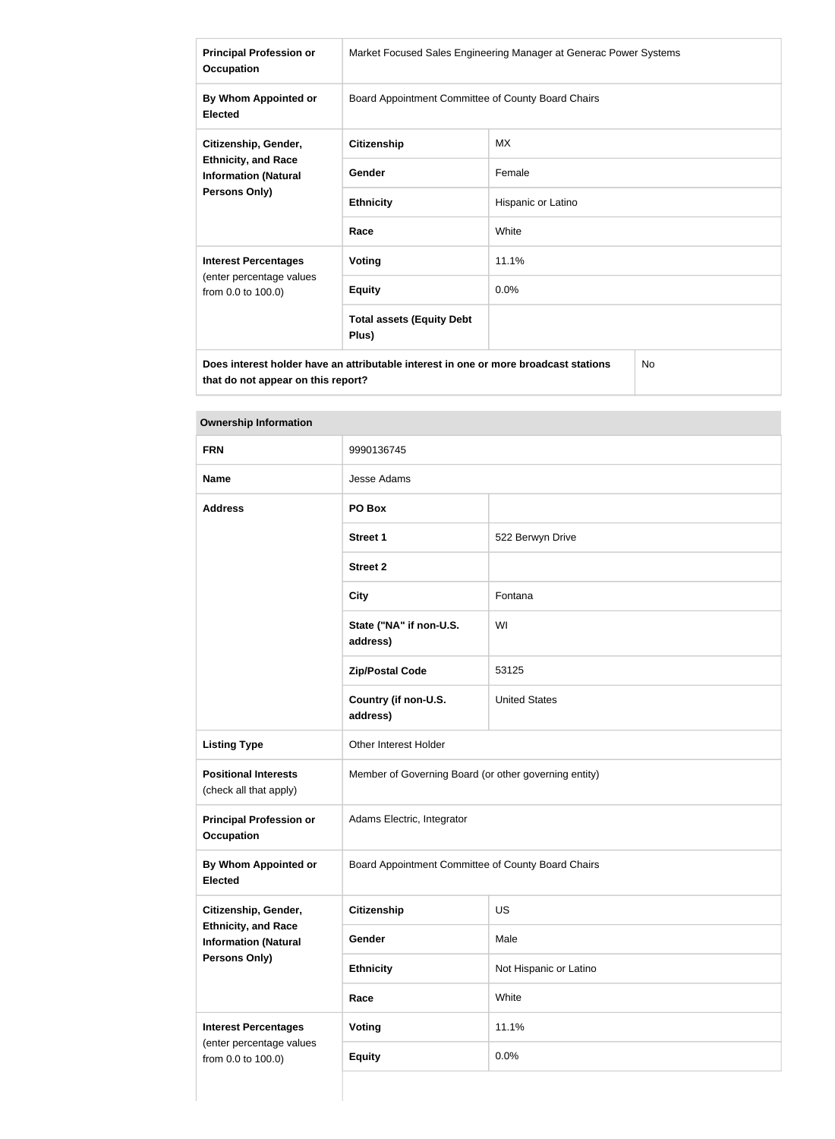| <b>Principal Profession or</b><br><b>Occupation</b>                                                       | Market Focused Sales Engineering Manager at Generac Power Systems |                    |  |
|-----------------------------------------------------------------------------------------------------------|-------------------------------------------------------------------|--------------------|--|
| By Whom Appointed or<br><b>Elected</b>                                                                    | Board Appointment Committee of County Board Chairs                |                    |  |
| Citizenship, Gender,<br><b>Ethnicity, and Race</b><br><b>Information (Natural</b><br><b>Persons Only)</b> | <b>Citizenship</b>                                                | МX                 |  |
|                                                                                                           | Gender                                                            | Female             |  |
|                                                                                                           | <b>Ethnicity</b>                                                  | Hispanic or Latino |  |
|                                                                                                           | Race                                                              | White              |  |
| <b>Interest Percentages</b>                                                                               | <b>Voting</b>                                                     | 11.1%              |  |
| (enter percentage values<br>from 0.0 to 100.0)                                                            | <b>Equity</b>                                                     | 0.0%               |  |
|                                                                                                           | <b>Total assets (Equity Debt</b><br>Plus)                         |                    |  |
| Does interest holder have an attributable interest in one or more broadcast stations<br><b>No</b>         |                                                                   |                    |  |

**Ownership Information**

**that do not appear on this report?**

| <b>FRN</b>                                                                 | 9990136745                                            |                        |  |
|----------------------------------------------------------------------------|-------------------------------------------------------|------------------------|--|
| <b>Name</b>                                                                | Jesse Adams                                           |                        |  |
| <b>Address</b>                                                             | PO Box                                                |                        |  |
|                                                                            | <b>Street 1</b>                                       | 522 Berwyn Drive       |  |
|                                                                            | <b>Street 2</b>                                       |                        |  |
|                                                                            | <b>City</b>                                           | Fontana                |  |
|                                                                            | State ("NA" if non-U.S.<br>address)                   | WI                     |  |
|                                                                            | <b>Zip/Postal Code</b>                                | 53125                  |  |
|                                                                            | Country (if non-U.S.<br>address)                      | <b>United States</b>   |  |
| <b>Listing Type</b>                                                        | Other Interest Holder                                 |                        |  |
| <b>Positional Interests</b><br>(check all that apply)                      | Member of Governing Board (or other governing entity) |                        |  |
| <b>Principal Profession or</b><br><b>Occupation</b>                        | Adams Electric, Integrator                            |                        |  |
| <b>By Whom Appointed or</b><br><b>Elected</b>                              | Board Appointment Committee of County Board Chairs    |                        |  |
| Citizenship, Gender,                                                       | <b>Citizenship</b>                                    | US                     |  |
| <b>Ethnicity, and Race</b><br><b>Information (Natural</b><br>Persons Only) | Gender                                                | Male                   |  |
|                                                                            | <b>Ethnicity</b>                                      | Not Hispanic or Latino |  |
|                                                                            | Race                                                  | White                  |  |
| <b>Interest Percentages</b>                                                | <b>Voting</b>                                         | 11.1%                  |  |
| (enter percentage values<br>from 0.0 to 100.0)                             | <b>Equity</b>                                         | 0.0%                   |  |
|                                                                            |                                                       |                        |  |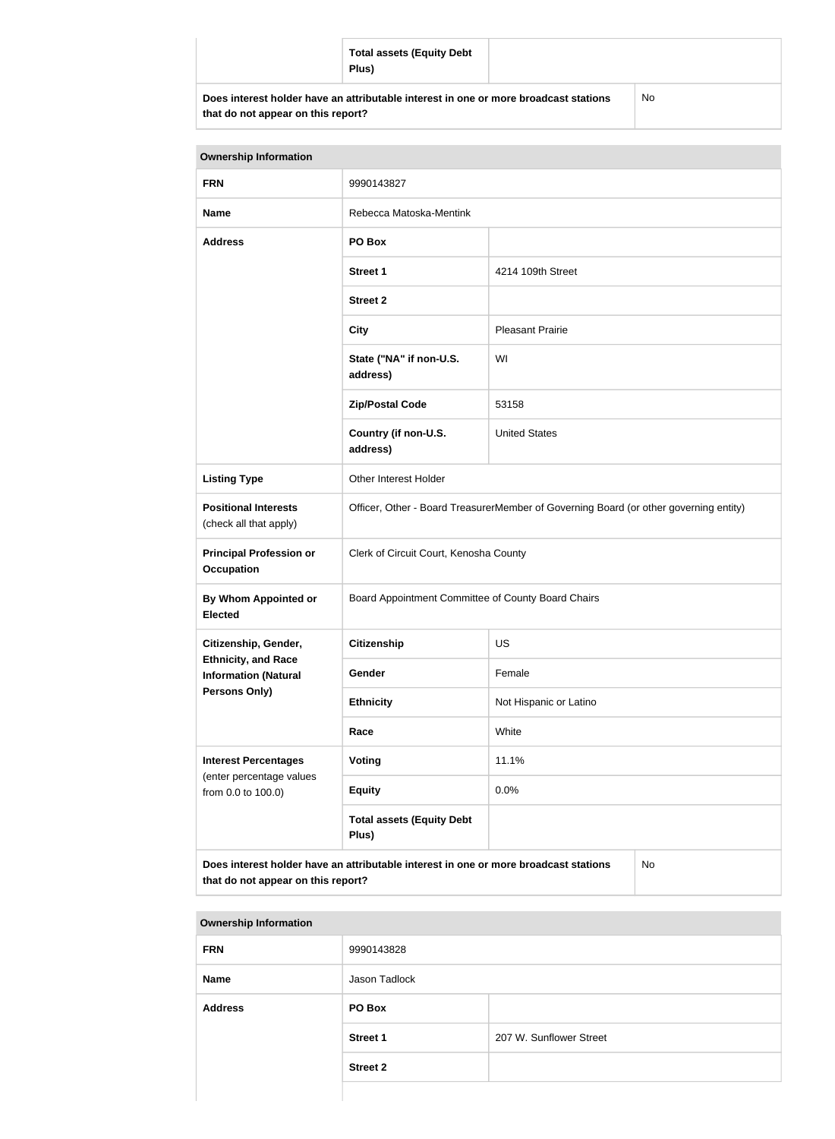|                                                                                                                            | <b>Total assets (Equity Debt</b><br>Plus) |           |
|----------------------------------------------------------------------------------------------------------------------------|-------------------------------------------|-----------|
| Does interest holder have an attributable interest in one or more broadcast stations<br>that do not appear on this report? |                                           | <b>No</b> |

| <b>Ownership Information</b>                                                                                                     |                                                                                       |                                                    |  |  |
|----------------------------------------------------------------------------------------------------------------------------------|---------------------------------------------------------------------------------------|----------------------------------------------------|--|--|
| <b>FRN</b>                                                                                                                       | 9990143827                                                                            |                                                    |  |  |
| <b>Name</b>                                                                                                                      | Rebecca Matoska-Mentink                                                               |                                                    |  |  |
| <b>Address</b>                                                                                                                   | PO Box                                                                                |                                                    |  |  |
|                                                                                                                                  | <b>Street 1</b>                                                                       | 4214 109th Street                                  |  |  |
|                                                                                                                                  | <b>Street 2</b>                                                                       |                                                    |  |  |
|                                                                                                                                  | <b>City</b>                                                                           | <b>Pleasant Prairie</b>                            |  |  |
|                                                                                                                                  | State ("NA" if non-U.S.<br>address)                                                   | WI                                                 |  |  |
|                                                                                                                                  | <b>Zip/Postal Code</b>                                                                | 53158                                              |  |  |
|                                                                                                                                  | Country (if non-U.S.<br>address)                                                      | <b>United States</b>                               |  |  |
| <b>Listing Type</b>                                                                                                              | Other Interest Holder                                                                 |                                                    |  |  |
| <b>Positional Interests</b><br>(check all that apply)                                                                            | Officer, Other - Board TreasurerMember of Governing Board (or other governing entity) |                                                    |  |  |
| <b>Principal Profession or</b><br><b>Occupation</b>                                                                              | Clerk of Circuit Court, Kenosha County                                                |                                                    |  |  |
| By Whom Appointed or<br><b>Elected</b>                                                                                           |                                                                                       | Board Appointment Committee of County Board Chairs |  |  |
| Citizenship, Gender,                                                                                                             | <b>Citizenship</b>                                                                    | <b>US</b>                                          |  |  |
| <b>Ethnicity, and Race</b><br><b>Information (Natural</b>                                                                        | Gender                                                                                | Female                                             |  |  |
| Persons Only)                                                                                                                    | <b>Ethnicity</b>                                                                      | Not Hispanic or Latino                             |  |  |
|                                                                                                                                  | Race                                                                                  | White                                              |  |  |
| <b>Interest Percentages</b><br>(enter percentage values                                                                          | Voting                                                                                | 11.1%                                              |  |  |
| from 0.0 to 100.0)                                                                                                               | <b>Equity</b>                                                                         | 0.0%                                               |  |  |
|                                                                                                                                  | <b>Total assets (Equity Debt</b><br>Plus)                                             |                                                    |  |  |
| Does interest holder have an attributable interest in one or more broadcast stations<br>No<br>that do not appear on this report? |                                                                                       |                                                    |  |  |

| <b>Ownership Information</b> |                 |                         |  |
|------------------------------|-----------------|-------------------------|--|
| <b>FRN</b>                   | 9990143828      |                         |  |
| <b>Name</b>                  | Jason Tadlock   |                         |  |
| <b>Address</b>               | PO Box          |                         |  |
|                              | <b>Street 1</b> | 207 W. Sunflower Street |  |
|                              | <b>Street 2</b> |                         |  |
|                              |                 |                         |  |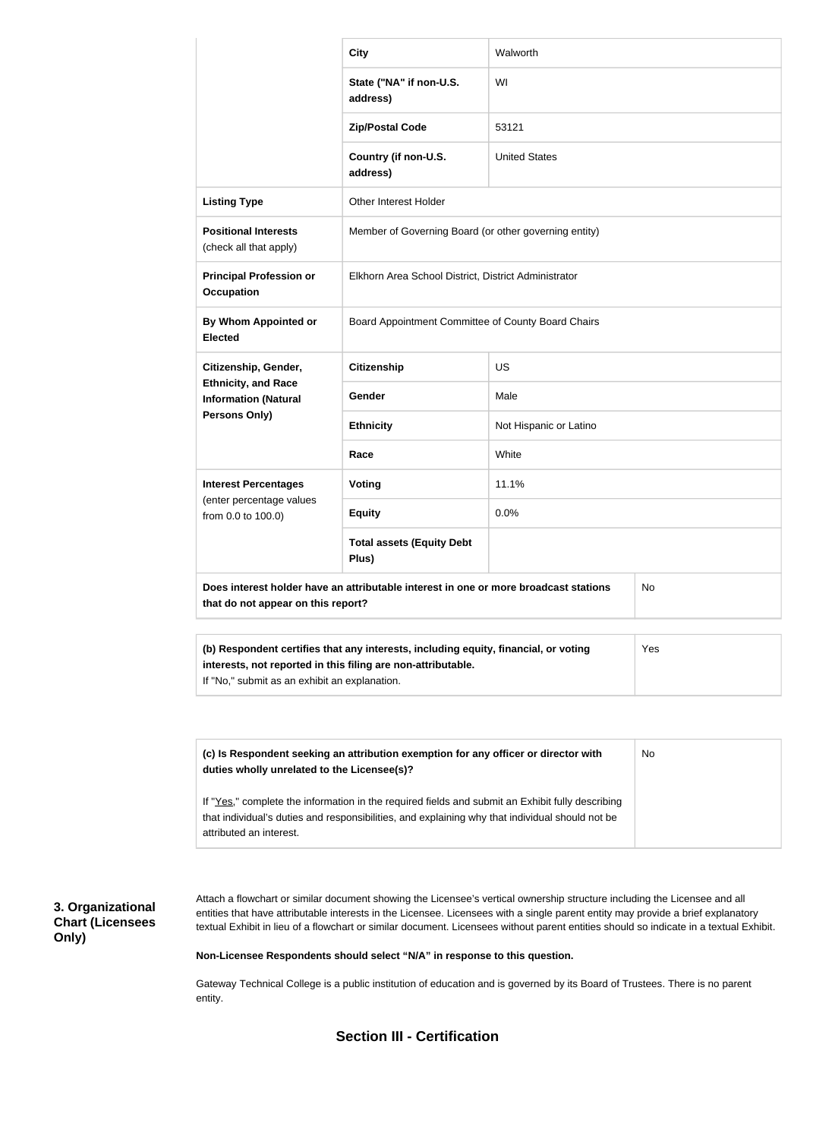|                                                           | <b>City</b>                                                                          | Walworth               |           |
|-----------------------------------------------------------|--------------------------------------------------------------------------------------|------------------------|-----------|
|                                                           | State ("NA" if non-U.S.<br>address)                                                  | WI                     |           |
|                                                           | <b>Zip/Postal Code</b>                                                               | 53121                  |           |
|                                                           | Country (if non-U.S.<br>address)                                                     | <b>United States</b>   |           |
| <b>Listing Type</b>                                       | Other Interest Holder                                                                |                        |           |
| <b>Positional Interests</b><br>(check all that apply)     | Member of Governing Board (or other governing entity)                                |                        |           |
| <b>Principal Profession or</b><br><b>Occupation</b>       | Elkhorn Area School District, District Administrator                                 |                        |           |
| By Whom Appointed or<br><b>Elected</b>                    | Board Appointment Committee of County Board Chairs                                   |                        |           |
| Citizenship, Gender,                                      | <b>Citizenship</b>                                                                   | <b>US</b>              |           |
| <b>Ethnicity, and Race</b><br><b>Information (Natural</b> | Gender                                                                               | Male                   |           |
| Persons Only)                                             | <b>Ethnicity</b>                                                                     | Not Hispanic or Latino |           |
|                                                           | Race                                                                                 | White                  |           |
| <b>Interest Percentages</b>                               | <b>Voting</b>                                                                        | 11.1%                  |           |
| (enter percentage values<br>from 0.0 to 100.0)            | <b>Equity</b>                                                                        | 0.0%                   |           |
|                                                           | <b>Total assets (Equity Debt</b><br>Plus)                                            |                        |           |
| that do not appear on this report?                        | Does interest holder have an attributable interest in one or more broadcast stations |                        | <b>No</b> |
|                                                           |                                                                                      |                        |           |
|                                                           | (b) Respondent certifies that any interests, including equity, financial, or voting  |                        | Yes       |

**interests, not reported in this filing are non-attributable.** If "No," submit as an exhibit an explanation.

| (c) Is Respondent seeking an attribution exemption for any officer or director with<br>duties wholly unrelated to the Licensee(s)?                                                                                             | No |
|--------------------------------------------------------------------------------------------------------------------------------------------------------------------------------------------------------------------------------|----|
| If "Yes," complete the information in the required fields and submit an Exhibit fully describing<br>that individual's duties and responsibilities, and explaining why that individual should not be<br>attributed an interest. |    |

## **3. Organizational Chart (Licensees Only)**

Attach a flowchart or similar document showing the Licensee's vertical ownership structure including the Licensee and all entities that have attributable interests in the Licensee. Licensees with a single parent entity may provide a brief explanatory textual Exhibit in lieu of a flowchart or similar document. Licensees without parent entities should so indicate in a textual Exhibit.

**Non-Licensee Respondents should select "N/A" in response to this question.**

Gateway Technical College is a public institution of education and is governed by its Board of Trustees. There is no parent entity.

**Section III - Certification**